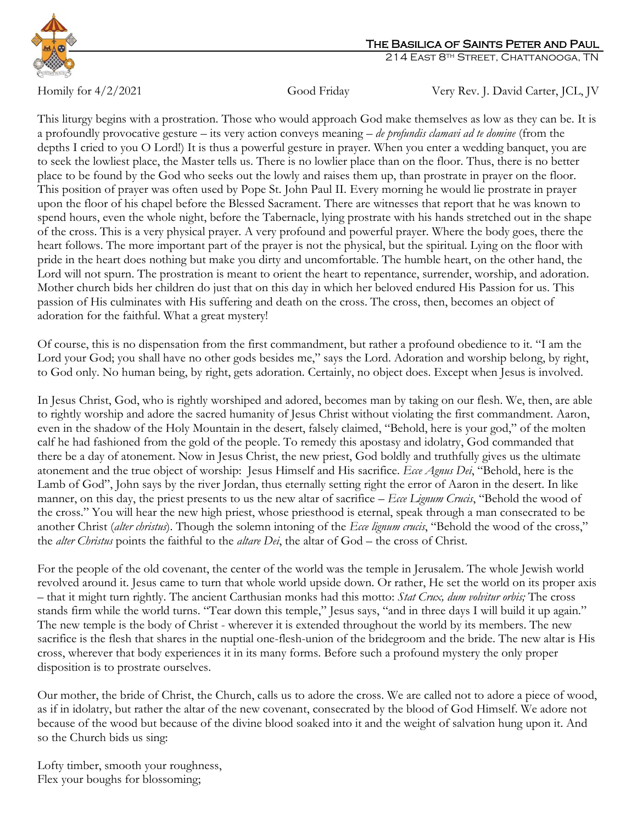

Homily for 4/2/2021 Good Friday Very Rev. J. David Carter, JCL, JV

This liturgy begins with a prostration. Those who would approach God make themselves as low as they can be. It is a profoundly provocative gesture – its very action conveys meaning – *de profundis clamavi ad te domine* (from the depths I cried to you O Lord!) It is thus a powerful gesture in prayer. When you enter a wedding banquet, you are to seek the lowliest place, the Master tells us. There is no lowlier place than on the floor. Thus, there is no better place to be found by the God who seeks out the lowly and raises them up, than prostrate in prayer on the floor. This position of prayer was often used by Pope St. John Paul II. Every morning he would lie prostrate in prayer upon the floor of his chapel before the Blessed Sacrament. There are witnesses that report that he was known to spend hours, even the whole night, before the Tabernacle, lying prostrate with his hands stretched out in the shape of the cross. This is a very physical prayer. A very profound and powerful prayer. Where the body goes, there the heart follows. The more important part of the prayer is not the physical, but the spiritual. Lying on the floor with pride in the heart does nothing but make you dirty and uncomfortable. The humble heart, on the other hand, the Lord will not spurn. The prostration is meant to orient the heart to repentance, surrender, worship, and adoration. Mother church bids her children do just that on this day in which her beloved endured His Passion for us. This passion of His culminates with His suffering and death on the cross. The cross, then, becomes an object of adoration for the faithful. What a great mystery!

Of course, this is no dispensation from the first commandment, but rather a profound obedience to it. "I am the Lord your God; you shall have no other gods besides me," says the Lord. Adoration and worship belong, by right, to God only. No human being, by right, gets adoration. Certainly, no object does. Except when Jesus is involved.

In Jesus Christ, God, who is rightly worshiped and adored, becomes man by taking on our flesh. We, then, are able to rightly worship and adore the sacred humanity of Jesus Christ without violating the first commandment. Aaron, even in the shadow of the Holy Mountain in the desert, falsely claimed, "Behold, here is your god," of the molten calf he had fashioned from the gold of the people. To remedy this apostasy and idolatry, God commanded that there be a day of atonement. Now in Jesus Christ, the new priest, God boldly and truthfully gives us the ultimate atonement and the true object of worship: Jesus Himself and His sacrifice. *Ecce Agnus Dei*, "Behold, here is the Lamb of God", John says by the river Jordan, thus eternally setting right the error of Aaron in the desert. In like manner, on this day, the priest presents to us the new altar of sacrifice – *Ecce Lignum Crucis*, "Behold the wood of the cross." You will hear the new high priest, whose priesthood is eternal, speak through a man consecrated to be another Christ (*alter christus*). Though the solemn intoning of the *Ecce lignum crucis*, "Behold the wood of the cross," the *alter Christus* points the faithful to the *altare Dei*, the altar of God – the cross of Christ.

For the people of the old covenant, the center of the world was the temple in Jerusalem. The whole Jewish world revolved around it. Jesus came to turn that whole world upside down. Or rather, He set the world on its proper axis – that it might turn rightly. The ancient Carthusian monks had this motto: *Stat Crux, dum volvitur orbis;* The cross stands firm while the world turns. "Tear down this temple," Jesus says, "and in three days I will build it up again." The new temple is the body of Christ - wherever it is extended throughout the world by its members. The new sacrifice is the flesh that shares in the nuptial one-flesh-union of the bridegroom and the bride. The new altar is His cross, wherever that body experiences it in its many forms. Before such a profound mystery the only proper disposition is to prostrate ourselves.

Our mother, the bride of Christ, the Church, calls us to adore the cross. We are called not to adore a piece of wood, as if in idolatry, but rather the altar of the new covenant, consecrated by the blood of God Himself. We adore not because of the wood but because of the divine blood soaked into it and the weight of salvation hung upon it. And so the Church bids us sing:

Lofty timber, smooth your roughness, Flex your boughs for blossoming;